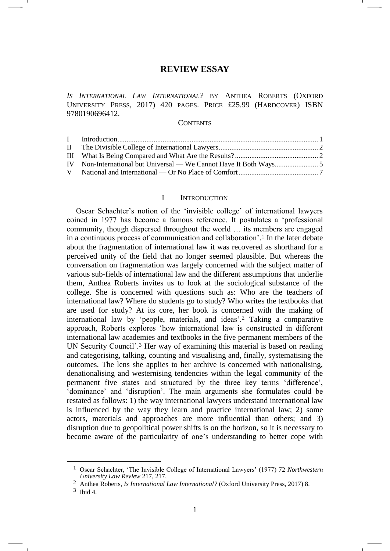# **REVIEW ESSAY**

*IS INTERNATIONAL LAW INTERNATIONAL?* BY ANTHEA ROBERTS (OXFORD UNIVERSITY PRESS, 2017) 420 PAGES. PRICE £25.99 (HARDCOVER) ISBN 9780190696412.

#### **CONTENTS**

### <span id="page-0-0"></span>I INTRODUCTION

Oscar Schachter's notion of the 'invisible college' of international lawyers coined in 1977 has become a famous reference. It postulates a 'professional community, though dispersed throughout the world … its members are engaged in a continuous process of communication and collaboration'. <sup>1</sup> In the later debate about the fragmentation of international law it was recovered as shorthand for a perceived unity of the field that no longer seemed plausible. But whereas the conversation on fragmentation was largely concerned with the subject matter of various sub-fields of international law and the different assumptions that underlie them, Anthea Roberts invites us to look at the sociological substance of the college. She is concerned with questions such as: Who are the teachers of international law? Where do students go to study? Who writes the textbooks that are used for study? At its core, her book is concerned with the making of international law by 'people, materials, and ideas'.<sup>2</sup> Taking a comparative approach, Roberts explores 'how international law is constructed in different international law academies and textbooks in the five permanent members of the UN Security Council'.<sup>3</sup> Her way of examining this material is based on reading and categorising, talking, counting and visualising and, finally, systematising the outcomes. The lens she applies to her archive is concerned with nationalising, denationalising and westernising tendencies within the legal community of the permanent five states and structured by the three key terms 'difference', 'dominance' and 'disruption'. The main arguments she formulates could be restated as follows: 1) the way international lawyers understand international law is influenced by the way they learn and practice international law; 2) some actors, materials and approaches are more influential than others; and 3) disruption due to geopolitical power shifts is on the horizon, so it is necessary to become aware of the particularity of one's understanding to better cope with

1

<sup>1</sup> Oscar Schachter, 'The Invisible College of International Lawyers' (1977) 72 *Northwestern University Law Review* 217, 217.

<sup>2</sup> Anthea Roberts, *Is International Law International?* (Oxford University Press, 2017) 8.

<sup>3</sup> Ibid 4.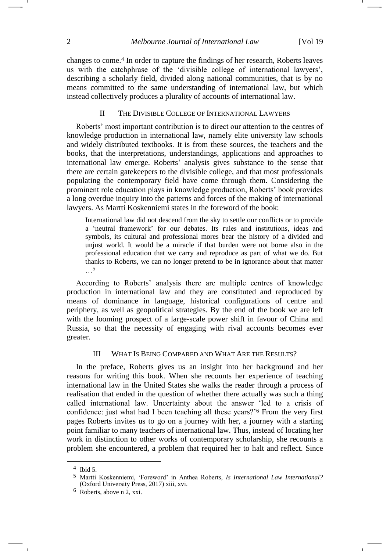changes to come.<sup>4</sup> In order to capture the findings of her research, Roberts leaves us with the catchphrase of the 'divisible college of international lawyers', describing a scholarly field, divided along national communities, that is by no means committed to the same understanding of international law, but which instead collectively produces a plurality of accounts of international law.

### II THE DIVISIBLE COLLEGE OF INTERNATIONAL LAWYERS

Roberts' most important contribution is to direct our attention to the centres of knowledge production in international law, namely elite university law schools and widely distributed textbooks. It is from these sources, the teachers and the books, that the interpretations, understandings, applications and approaches to international law emerge. Roberts' analysis gives substance to the sense that there are certain gatekeepers to the divisible college, and that most professionals populating the contemporary field have come through them. Considering the prominent role education plays in knowledge production, Roberts' book provides a long overdue inquiry into the patterns and forces of the making of international lawyers. As Martti Koskenniemi states in the foreword of the book:

International law did not descend from the sky to settle our conflicts or to provide a 'neutral framework' for our debates. Its rules and institutions, ideas and symbols, its cultural and professional mores bear the history of a divided and unjust world. It would be a miracle if that burden were not borne also in the professional education that we carry and reproduce as part of what we do. But thanks to Roberts, we can no longer pretend to be in ignorance about that matter …5

According to Roberts' analysis there are multiple centres of knowledge production in international law and they are constituted and reproduced by means of dominance in language, historical configurations of centre and periphery, as well as geopolitical strategies. By the end of the book we are left with the looming prospect of a large-scale power shift in favour of China and Russia, so that the necessity of engaging with rival accounts becomes ever greater.

### III WHAT IS BEING COMPARED AND WHAT ARE THE RESULTS?

In the preface, Roberts gives us an insight into her background and her reasons for writing this book. When she recounts her experience of teaching international law in the United States she walks the reader through a process of realisation that ended in the question of whether there actually was such a thing called international law. Uncertainty about the answer 'led to a crisis of confidence: just what had I been teaching all these years?'<sup>6</sup> From the very first pages Roberts invites us to go on a journey with her, a journey with a starting point familiar to many teachers of international law. Thus, instead of locating her work in distinction to other works of contemporary scholarship, she recounts a problem she encountered, a problem that required her to halt and reflect. Since

1

<sup>4</sup> Ibid 5.

<sup>5</sup> Martti Koskenniemi, 'Foreword' in Anthea Roberts, *Is International Law International?* (Oxford University Press, 2017) xiii, xvi.

<sup>6</sup> Roberts, above n [2,](#page-0-0) xxi.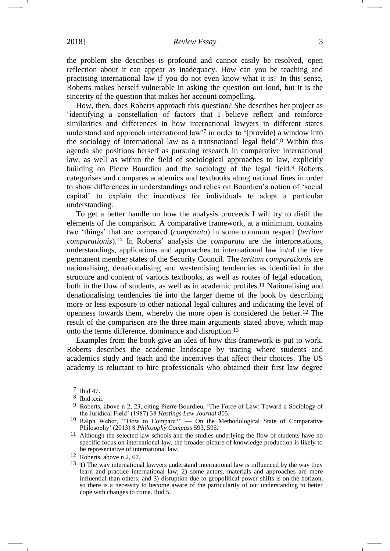### 2018] *Review Essay* 3

the problem she describes is profound and cannot easily be resolved, open reflection about it can appear as inadequacy. How can you be teaching and practising international law if you do not even know what it is? In this sense, Roberts makes herself vulnerable in asking the question out loud, but it is the sincerity of the question that makes her account compelling.

How, then, does Roberts approach this question? She describes her project as 'identifying a constellation of factors that I believe reflect and reinforce similarities and differences in how international lawyers in different states understand and approach international law'<sup>7</sup> in order to '[provide] a window into the sociology of international law as a transnational legal field'.<sup>8</sup> Within this agenda she positions herself as pursuing research in comparative international law, as well as within the field of sociological approaches to law, explicitly building on Pierre Bourdieu and the sociology of the legal field.<sup>9</sup> Roberts categorises and compares academics and textbooks along national lines in order to show differences in understandings and relies on Bourdieu's notion of 'social capital' to explain the incentives for individuals to adopt a particular understanding.

To get a better handle on how the analysis proceeds I will try to distil the elements of the comparison. A comparative framework, at a minimum, contains two 'things' that are compared (*comparata*) in some common respect (*tertium comparationis*). <sup>10</sup> In Roberts' analysis the *comparata* are the interpretations, understandings, applications and approaches to international law in/of the five permanent member states of the Security Council. The *teritum comparationis* are nationalising, denationalising and westernising tendencies as identified in the structure and content of various textbooks, as well as routes of legal education, both in the flow of students, as well as in academic profiles.<sup>11</sup> Nationalising and denationalising tendencies tie into the larger theme of the book by describing more or less exposure to other national legal cultures and indicating the level of openness towards them, whereby the more open is considered the better.<sup>12</sup> The result of the comparison are the three main arguments stated above, which map onto the terms difference, dominance and disruption.<sup>13</sup>

Examples from the book give an idea of how this framework is put to work. Roberts describes the academic landscape by tracing where students and academics study and teach and the incentives that affect their choices. The US academy is reluctant to hire professionals who obtained their first law degree

<sup>7</sup> Ibid 47.

<sup>8</sup> Ibid xxii.

<sup>9</sup> Roberts, above n [2,](#page-0-0) 23, citing Pierre Bourdieu, 'The Force of Law: Toward a Sociology of the Juridical Field' (1987) 38 *Hastings Law Journal* 805.

<sup>10</sup> Ralph Weber, '"How to Compare?" — On the Methodological State of Comparative Philosophy' (2013) 8 *Philosophy Compass* 593, 595.

<sup>&</sup>lt;sup>11</sup> Although the selected law schools and the studies underlying the flow of students have no specific focus on international law, the broader picture of knowledge production is likely to be representative of international law.

<sup>12</sup> Roberts, above n [2,](#page-0-0) 67.

 $13$  1) The way international lawyers understand international law is influenced by the way they learn and practice international law; 2) some actors, materials and approaches are more influential than others; and 3) disruption due to geopolitical power shifts is on the horizon, so there is a necessity to become aware of the particularity of our understanding to better cope with changes to come. Ibid 5.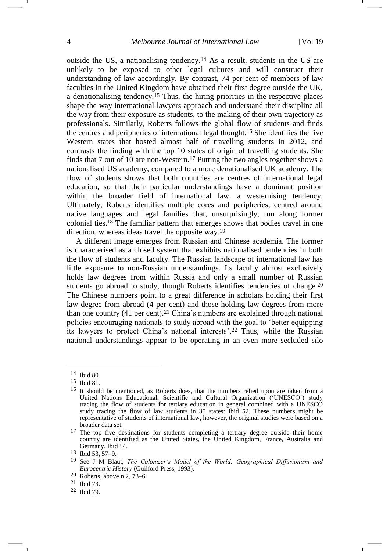outside the US, a nationalising tendency.<sup>14</sup> As a result, students in the US are unlikely to be exposed to other legal cultures and will construct their understanding of law accordingly. By contrast, 74 per cent of members of law faculties in the United Kingdom have obtained their first degree outside the UK, a denationalising tendency.<sup>15</sup> Thus, the hiring priorities in the respective places shape the way international lawyers approach and understand their discipline all the way from their exposure as students, to the making of their own trajectory as professionals. Similarly, Roberts follows the global flow of students and finds the centres and peripheries of international legal thought.<sup>16</sup> She identifies the five Western states that hosted almost half of travelling students in 2012, and contrasts the finding with the top 10 states of origin of travelling students. She finds that 7 out of 10 are non-Western.<sup>17</sup> Putting the two angles together shows a nationalised US academy, compared to a more denationalised UK academy. The flow of students shows that both countries are centres of international legal education, so that their particular understandings have a dominant position within the broader field of international law, a westernising tendency. Ultimately, Roberts identifies multiple cores and peripheries, centred around native languages and legal families that, unsurprisingly, run along former colonial ties.<sup>18</sup> The familiar pattern that emerges shows that bodies travel in one direction, whereas ideas travel the opposite way.<sup>19</sup>

A different image emerges from Russian and Chinese academia. The former is characterised as a closed system that exhibits nationalised tendencies in both the flow of students and faculty. The Russian landscape of international law has little exposure to non-Russian understandings. Its faculty almost exclusively holds law degrees from within Russia and only a small number of Russian students go abroad to study, though Roberts identifies tendencies of change.<sup>20</sup> The Chinese numbers point to a great difference in scholars holding their first law degree from abroad (4 per cent) and those holding law degrees from more than one country (41 per cent). <sup>21</sup> China's numbers are explained through national policies encouraging nationals to study abroad with the goal to 'better equipping its lawyers to protect China's national interests'. <sup>22</sup> Thus, while the Russian national understandings appear to be operating in an even more secluded silo

<sup>14</sup> Ibid 80.

<sup>15</sup> Ibid 81.

<sup>16</sup> It should be mentioned, as Roberts does, that the numbers relied upon are taken from a United Nations Educational, Scientific and Cultural Organization ('UNESCO') study tracing the flow of students for tertiary education in general combined with a UNESCO study tracing the flow of law students in 35 states: Ibid 52. These numbers might be representative of students of international law, however, the original studies were based on a broader data set.

<sup>&</sup>lt;sup>17</sup> The top five destinations for students completing a tertiary degree outside their home country are identified as the United States, the United Kingdom, France, Australia and Germany. Ibid 54.

<sup>18</sup> Ibid 53, 57–9.

<sup>19</sup> See J M Blaut, *The Colonizer's Model of the World: Geographical Diffusionism and Eurocentric History* (Guilford Press, 1993).

<sup>20</sup> Roberts, above n [2,](#page-0-0) 73–6.

<sup>21</sup> Ibid 73.

<sup>22</sup> Ibid 79.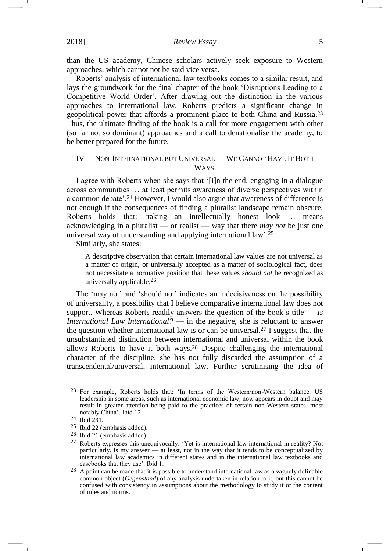than the US academy, Chinese scholars actively seek exposure to Western approaches, which cannot not be said vice versa.

Roberts' analysis of international law textbooks comes to a similar result, and lays the groundwork for the final chapter of the book 'Disruptions Leading to a Competitive World Order'. After drawing out the distinction in the various approaches to international law, Roberts predicts a significant change in geopolitical power that affords a prominent place to both China and Russia. 23 Thus, the ultimate finding of the book is a call for more engagement with other (so far not so dominant) approaches and a call to denationalise the academy, to be better prepared for the future.

### IV NON-INTERNATIONAL BUT UNIVERSAL — WE CANNOT HAVE IT BOTH WAYS

I agree with Roberts when she says that '[i]n the end, engaging in a dialogue across communities … at least permits awareness of diverse perspectives within a common debate'. <sup>24</sup> However, I would also argue that awareness of difference is not enough if the consequences of finding a pluralist landscape remain obscure. Roberts holds that: 'taking an intellectually honest look … means acknowledging in a pluralist — or realist — way that there *may not* be just one universal way of understanding and applying international law'. 25

Similarly, she states:

A descriptive observation that certain international law values are not universal as a matter of origin, or universally accepted as a matter of sociological fact, does not necessitate a normative position that these values *should not* be recognized as universally applicable.26

The 'may not' and 'should not' indicates an indecisiveness on the possibility of universality, a possibility that I believe comparative international law does not support. Whereas Roberts readily answers the question of the book's title — *Is International Law International?* — in the negative, she is reluctant to answer the question whether international law is or can be universal.<sup>27</sup> I suggest that the unsubstantiated distinction between international and universal within the book allows Roberts to have it both ways.<sup>28</sup> Despite challenging the international character of the discipline, she has not fully discarded the assumption of a transcendental/universal, international law. Further scrutinising the idea of

<u>.</u>

-1

<sup>23</sup> For example, Roberts holds that: 'In terms of the Western/non-Western balance, US leadership in some areas, such as international economic law, now appears in doubt and may result in greater attention being paid to the practices of certain non-Western states, most notably China'. Ibid 12.

<sup>24</sup> Ibid 231.

<sup>25</sup> Ibid 22 (emphasis added).

<sup>26</sup> Ibid 21 (emphasis added).

<sup>27</sup> Roberts expresses this unequivocally: 'Yet is international law international in reality? Not particularly, is my answer — at least, not in the way that it tends to be conceptualized by international law academics in different states and in the international law textbooks and casebooks that they use'. Ibid 1.

<sup>28</sup> A point can be made that it is possible to understand international law as a vaguely definable common object (*Gegenstand*) of any analysis undertaken in relation to it, but this cannot be confused with consistency in assumptions about the methodology to study it or the content of rules and norms.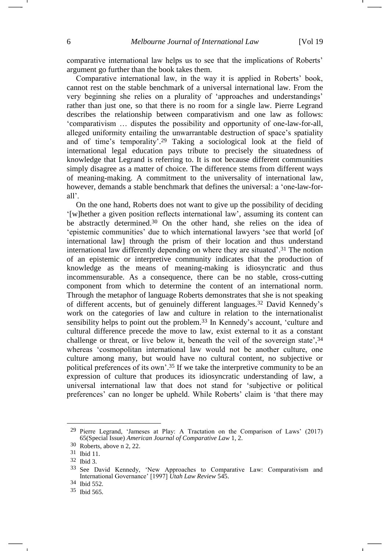comparative international law helps us to see that the implications of Roberts' argument go further than the book takes them.

Comparative international law, in the way it is applied in Roberts' book, cannot rest on the stable benchmark of a universal international law. From the very beginning she relies on a plurality of 'approaches and understandings' rather than just one, so that there is no room for a single law. Pierre Legrand describes the relationship between comparativism and one law as follows: 'comparativism … disputes the possibility and opportunity of one-law-for-all, alleged uniformity entailing the unwarrantable destruction of space's spatiality and of time's temporality'. <sup>29</sup> Taking a sociological look at the field of international legal education pays tribute to precisely the situatedness of knowledge that Legrand is referring to. It is not because different communities simply disagree as a matter of choice. The difference stems from different ways of meaning-making. A commitment to the universality of international law, however, demands a stable benchmark that defines the universal: a 'one-law-forall'.

On the one hand, Roberts does not want to give up the possibility of deciding '[w]hether a given position reflects international law', assuming its content can be abstractly determined.<sup>30</sup> On the other hand, she relies on the idea of 'epistemic communities' due to which international lawyers 'see that world [of international law] through the prism of their location and thus understand international law differently depending on where they are situated'. <sup>31</sup> The notion of an epistemic or interpretive community indicates that the production of knowledge as the means of meaning-making is idiosyncratic and thus incommensurable. As a consequence, there can be no stable, cross-cutting component from which to determine the content of an international norm. Through the metaphor of language Roberts demonstrates that she is not speaking of different accents, but of genuinely different languages.<sup>32</sup> David Kennedy's work on the categories of law and culture in relation to the internationalist sensibility helps to point out the problem.<sup>33</sup> In Kennedy's account, 'culture and cultural difference precede the move to law, exist external to it as a constant challenge or threat, or live below it, beneath the veil of the sovereign state', 34 whereas 'cosmopolitan international law would not be another culture, one culture among many, but would have no cultural content, no subjective or political preferences of its own'. <sup>35</sup> If we take the interpretive community to be an expression of culture that produces its idiosyncratic understanding of law, a universal international law that does not stand for 'subjective or political preferences' can no longer be upheld. While Roberts' claim is 'that there may

<sup>29</sup> Pierre Legrand, 'Jameses at Play: A Tractation on the Comparison of Laws' (2017) 65(Special Issue) *American Journal of Comparative Law* 1, 2.

<sup>30</sup> Roberts, above n [2,](#page-0-0) 22.

<sup>31</sup> Ibid 11.

<sup>32</sup> Ibid 3.

<sup>33</sup> See David Kennedy, 'New Approaches to Comparative Law: Comparativism and International Governance' [1997] *Utah Law Review* 545.

<sup>34</sup> Ibid 552.

<sup>35</sup> Ibid 565.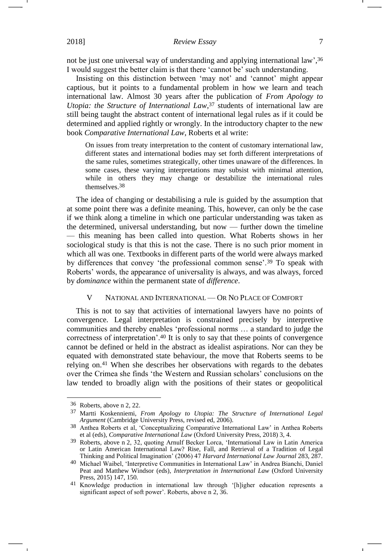## 2018] *Review Essay* 7

not be just one universal way of understanding and applying international law', 36 I would suggest the better claim is that there 'cannot be' such understanding.

Insisting on this distinction between 'may not' and 'cannot' might appear captious, but it points to a fundamental problem in how we learn and teach international law. Almost 30 years after the publication of *From Apology to Utopia: the Structure of International Law*, <sup>37</sup> students of international law are still being taught the abstract content of international legal rules as if it could be determined and applied rightly or wrongly. In the introductory chapter to the new book *Comparative International Law*, Roberts et al write:

On issues from treaty interpretation to the content of customary international law, different states and international bodies may set forth different interpretations of the same rules, sometimes strategically, other times unaware of the differences. In some cases, these varying interpretations may subsist with minimal attention, while in others they may change or destabilize the international rules themselves.38

The idea of changing or destabilising a rule is guided by the assumption that at some point there was a definite meaning. This, however, can only be the case if we think along a timeline in which one particular understanding was taken as the determined, universal understanding, but now — further down the timeline — this meaning has been called into question. What Roberts shows in her sociological study is that this is not the case. There is no such prior moment in which all was one. Textbooks in different parts of the world were always marked by differences that convey 'the professional common sense'.<sup>39</sup> To speak with Roberts' words, the appearance of universality is always, and was always, forced by *dominance* within the permanent state of *difference*.

## <span id="page-6-0"></span>V NATIONAL AND INTERNATIONAL — OR NO PLACE OF COMFORT

This is not to say that activities of international lawyers have no points of convergence. Legal interpretation is constrained precisely by interpretive communities and thereby enables 'professional norms … a standard to judge the correctness of interpretation'.<sup>40</sup> It is only to say that these points of convergence cannot be defined or held in the abstract as idealist aspirations. Nor can they be equated with demonstrated state behaviour, the move that Roberts seems to be relying on.<sup>41</sup> When she describes her observations with regards to the debates over the Crimea she finds 'the Western and Russian scholars' conclusions on the law tended to broadly align with the positions of their states or geopolitical

<sup>36</sup> Roberts, above n [2,](#page-0-0) 22.

<sup>37</sup> Martti Koskenniemi, *From Apology to Utopia: The Structure of International Legal Argument* (Cambridge University Press, revised ed, 2006).

<sup>38</sup> Anthea Roberts et al, 'Conceptualizing Comparative International Law' in Anthea Roberts et al (eds), *Comparative International Law* (Oxford University Press, 2018) 3, 4.

<sup>39</sup> Roberts, above n [2,](#page-0-0) 32, quoting Arnulf Becker Lorca, 'International Law in Latin America or Latin American International Law? Rise, Fall, and Retrieval of a Tradition of Legal Thinking and Political Imagination' (2006) 47 *Harvard International Law Journal* 283, 287.

<sup>40</sup> Michael Waibel, 'Interpretive Communities in International Law' in Andrea Bianchi, Daniel Peat and Matthew Windsor (eds), *Interpretation in International Law* (Oxford University Press, 2015) 147, 150.

<sup>41</sup> Knowledge production in international law through '[h]igher education represents a significant aspect of soft power'. Roberts, above n [2,](#page-0-0) 36.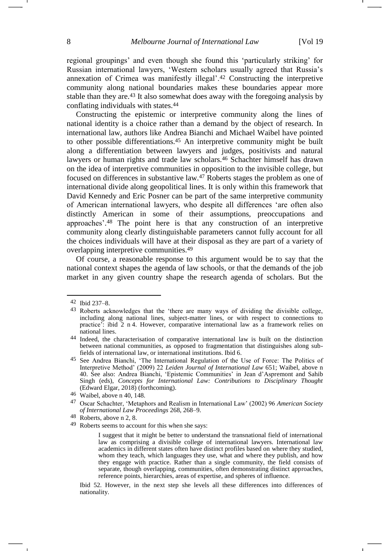regional groupings' and even though she found this 'particularly striking' for Russian international lawyers, 'Western scholars usually agreed that Russia's annexation of Crimea was manifestly illegal'.<sup>42</sup> Constructing the interpretive community along national boundaries makes these boundaries appear more stable than they are.<sup>43</sup> It also somewhat does away with the foregoing analysis by conflating individuals with states.<sup>44</sup>

Constructing the epistemic or interpretive community along the lines of national identity is a choice rather than a demand by the object of research. In international law, authors like Andrea Bianchi and Michael Waibel have pointed to other possible differentiations.<sup>45</sup> An interpretive community might be built along a differentiation between lawyers and judges, positivists and natural lawyers or human rights and trade law scholars.<sup>46</sup> Schachter himself has drawn on the idea of interpretive communities in opposition to the invisible college, but focused on differences in substantive law.<sup>47</sup> Roberts stages the problem as one of international divide along geopolitical lines. It is only within this framework that David Kennedy and Eric Posner can be part of the same interpretive community of American international lawyers, who despite all differences 'are often also distinctly American in some of their assumptions, preoccupations and approaches'. <sup>48</sup> The point here is that any construction of an interpretive community along clearly distinguishable parameters cannot fully account for all the choices individuals will have at their disposal as they are part of a variety of overlapping interpretive communities.<sup>49</sup>

Of course, a reasonable response to this argument would be to say that the national context shapes the agenda of law schools, or that the demands of the job market in any given country shape the research agenda of scholars. But the

<sup>42</sup> Ibid 237–8.

<sup>&</sup>lt;sup>43</sup> Roberts acknowledges that the 'there are many ways of dividing the divisible college, including along national lines, subject-matter lines, or with respect to connections to practice': ibid 2 n 4. However, comparative international law as a framework relies on national lines.

<sup>44</sup> Indeed, the characterisation of comparative international law is built on the distinction between national communities, as opposed to fragmentation that distinguishes along subfields of international law, or international institutions. Ibid 6.

<sup>45</sup> See Andrea Bianchi, 'The International Regulation of the Use of Force: The Politics of Interpretive Method' (2009) 22 *Leiden Journal of International Law* 651; Waibel, above n [40.](#page-6-0) See also: Andrea Bianchi, 'Epistemic Communities' in Jean d'Aspremont and Sahib Singh (eds), *Concepts for International Law: Contributions to Disciplinary Thought*  (Edward Elgar, 2018) (forthcoming).

<sup>46</sup> Waibel, above [n 40,](#page-6-0) 148.

<sup>47</sup> Oscar Schachter, 'Metaphors and Realism in International Law' (2002) 96 *American Society of International Law Proceedings* 268, 268–9.

<sup>48</sup> Roberts, above n [2,](#page-0-0) 8.

<sup>49</sup> Roberts seems to account for this when she says:

I suggest that it might be better to understand the transnational field of international law as comprising a divisible college of international lawyers. International law academics in different states often have distinct profiles based on where they studied, whom they teach, which languages they use, what and where they publish, and how they engage with practice. Rather than a single community, the field consists of separate, though overlapping, communities, often demonstrating distinct approaches, reference points, hierarchies, areas of expertise, and spheres of influence.

Ibid 52. However, in the next step she levels all these differences into differences of nationality.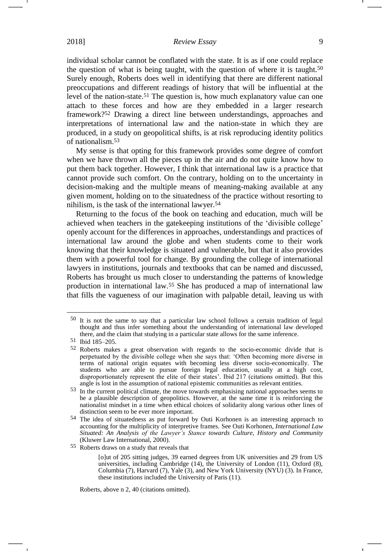individual scholar cannot be conflated with the state. It is as if one could replace the question of what is being taught, with the question of where it is taught.<sup>50</sup> Surely enough, Roberts does well in identifying that there are different national preoccupations and different readings of history that will be influential at the level of the nation-state.<sup>51</sup> The question is, how much explanatory value can one attach to these forces and how are they embedded in a larger research framework?<sup>52</sup> Drawing a direct line between understandings, approaches and interpretations of international law and the nation-state in which they are produced, in a study on geopolitical shifts, is at risk reproducing identity politics of nationalism.<sup>53</sup>

My sense is that opting for this framework provides some degree of comfort when we have thrown all the pieces up in the air and do not quite know how to put them back together. However, I think that international law is a practice that cannot provide such comfort. On the contrary, holding on to the uncertainty in decision-making and the multiple means of meaning-making available at any given moment, holding on to the situatedness of the practice without resorting to nihilism, is the task of the international lawyer.<sup>54</sup>

Returning to the focus of the book on teaching and education, much will be achieved when teachers in the gatekeeping institutions of the 'divisible college' openly account for the differences in approaches, understandings and practices of international law around the globe and when students come to their work knowing that their knowledge is situated and vulnerable, but that it also provides them with a powerful tool for change. By grounding the college of international lawyers in institutions, journals and textbooks that can be named and discussed, Roberts has brought us much closer to understanding the patterns of knowledge production in international law.<sup>55</sup> She has produced a map of international law that fills the vagueness of our imagination with palpable detail, leaving us with

<sup>50</sup> It is not the same to say that a particular law school follows a certain tradition of legal thought and thus infer something about the understanding of international law developed there, and the claim that studying in a particular state allows for the same inference.

<sup>51</sup> Ibid 185–205.

<sup>52</sup> Roberts makes a great observation with regards to the socio-economic divide that is perpetuated by the divisible college when she says that: 'Often becoming more diverse in terms of national origin equates with becoming less diverse socio-economically. The students who are able to pursue foreign legal education, usually at a high cost, disproportionately represent the elite of their states'. Ibid 217 (citations omitted). But this angle is lost in the assumption of national epistemic communities as relevant entities.

<sup>53</sup> In the current political climate, the move towards emphasising national approaches seems to be a plausible description of geopolitics. However, at the same time it is reinforcing the nationalist mindset in a time when ethical choices of solidarity along various other lines of distinction seem to be ever more important.

<sup>54</sup> The idea of situatedness as put forward by Outi Korhonen is an interesting approach to accounting for the multiplicity of interpretive frames. See Outi Korhonen, *International Law Situated: An Analysis of the Lawyer's Stance towards Culture, History and Community* (Kluwer Law International, 2000).

<sup>55</sup> Roberts draws on a study that reveals that

<sup>[</sup>o]ut of 205 sitting judges, 39 earned degrees from UK universities and 29 from US universities, including Cambridge (14), the University of London (11), Oxford (8), Columbia (7), Harvard (7), Yale (3), and New York University (NYU) (3). In France, these institutions included the University of Paris (11).

Roberts, above n [2,](#page-0-0) 40 (citations omitted).